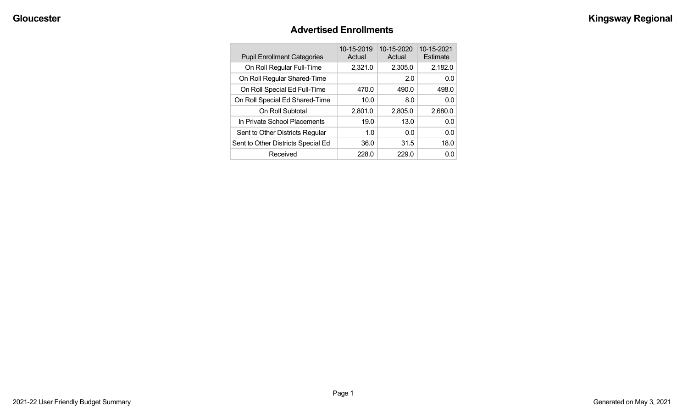#### **Advertised Enrollments**

| <b>Pupil Enrollment Categories</b> | 10-15-2019<br>Actual | 10-15-2020<br>Actual | 10-15-2021<br>Estimate |
|------------------------------------|----------------------|----------------------|------------------------|
| On Roll Regular Full-Time          | 2,321.0              | 2,305.0              | 2,182.0                |
| On Roll Regular Shared-Time        |                      | 2.0                  | 0.0                    |
| On Roll Special Ed Full-Time       | 470.0                | 490.0                | 498.0                  |
| On Roll Special Ed Shared-Time     | 10.0                 | 8.0                  | 0.0                    |
| On Roll Subtotal                   | 2,801.0              | 2,805.0              | 2,680.0                |
| In Private School Placements       | 19.0                 | 13.0                 | 0.0                    |
| Sent to Other Districts Regular    | 1.0                  | 0.0                  | 0.0                    |
| Sent to Other Districts Special Ed | 36.0                 | 31.5                 | 18.0                   |
| Received                           | 228.0                | 229.0                | 0.0                    |
|                                    |                      |                      |                        |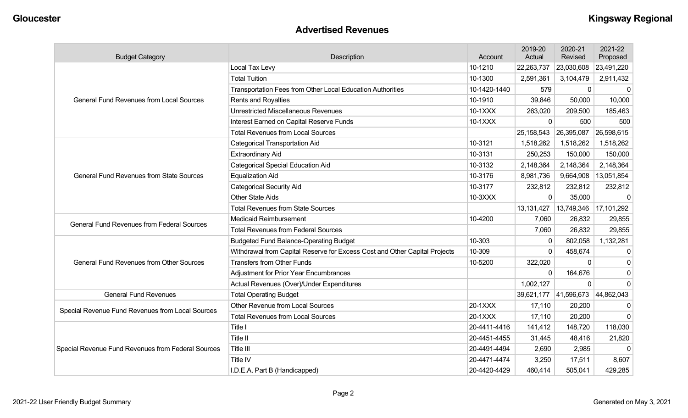#### **Advertised Revenues**

| <b>Budget Category</b>                             | Description                                                                | Account      | 2019-20<br>Actual | 2020-21<br><b>Revised</b> | 2021-22<br>Proposed |
|----------------------------------------------------|----------------------------------------------------------------------------|--------------|-------------------|---------------------------|---------------------|
|                                                    | Local Tax Levy                                                             | 10-1210      | 22,263,737        | 23,030,608                | 23,491,220          |
|                                                    | <b>Total Tuition</b>                                                       | 10-1300      | 2,591,361         | 3,104,479                 | 2,911,432           |
|                                                    | Transportation Fees from Other Local Education Authorities                 | 10-1420-1440 | 579               | $\mathbf 0$               | 0                   |
| <b>General Fund Revenues from Local Sources</b>    | <b>Rents and Royalties</b>                                                 | 10-1910      | 39,846            | 50,000                    | 10,000              |
|                                                    | <b>Unrestricted Miscellaneous Revenues</b>                                 | 10-1XXX      | 263,020           | 209,500                   | 185,463             |
|                                                    | Interest Earned on Capital Reserve Funds                                   | 10-1XXX      | $\Omega$          | 500                       | 500                 |
|                                                    | <b>Total Revenues from Local Sources</b>                                   |              | 25,158,543        | 26,395,087                | 26,598,615          |
|                                                    | <b>Categorical Transportation Aid</b>                                      | 10-3121      | 1,518,262         | 1,518,262                 | 1,518,262           |
|                                                    | <b>Extraordinary Aid</b>                                                   | 10-3131      | 250,253           | 150,000                   | 150,000             |
|                                                    | <b>Categorical Special Education Aid</b>                                   | 10-3132      | 2,148,364         | 2,148,364                 | 2,148,364           |
| <b>General Fund Revenues from State Sources</b>    | <b>Equalization Aid</b>                                                    | 10-3176      | 8,981,736         | 9,664,908                 | 13,051,854          |
|                                                    | <b>Categorical Security Aid</b>                                            | 10-3177      | 232,812           | 232,812                   | 232,812             |
|                                                    | <b>Other State Aids</b>                                                    | 10-3XXX      | $\Omega$          | 35,000                    | $\mathbf{0}$        |
|                                                    | <b>Total Revenues from State Sources</b>                                   |              | 13,131,427        | 13,749,346                | 17,101,292          |
| <b>General Fund Revenues from Federal Sources</b>  | <b>Medicaid Reimbursement</b>                                              | 10-4200      | 7,060             | 26,832                    | 29,855              |
|                                                    | <b>Total Revenues from Federal Sources</b>                                 |              | 7,060             | 26,832                    | 29,855              |
|                                                    | <b>Budgeted Fund Balance-Operating Budget</b>                              | 10-303       | $\Omega$          | 802,058                   | 1,132,281           |
|                                                    | Withdrawal from Capital Reserve for Excess Cost and Other Capital Projects | 10-309       | $\Omega$          | 458,674                   | $\Omega$            |
| <b>General Fund Revenues from Other Sources</b>    | <b>Transfers from Other Funds</b>                                          | 10-5200      | 322,020           | 0                         | $\Omega$            |
|                                                    | Adjustment for Prior Year Encumbrances                                     |              | $\Omega$          | 164,676                   | $\mathbf 0$         |
|                                                    | Actual Revenues (Over)/Under Expenditures                                  |              | 1,002,127         | $\mathbf 0$               | $\Omega$            |
| <b>General Fund Revenues</b>                       | <b>Total Operating Budget</b>                                              |              | 39,621,177        | 41,596,673                | 44,862,043          |
| Special Revenue Fund Revenues from Local Sources   | <b>Other Revenue from Local Sources</b>                                    | 20-1XXX      | 17,110            | 20,200                    |                     |
|                                                    | <b>Total Revenues from Local Sources</b>                                   | 20-1XXX      | 17,110            | 20,200                    | $\Omega$            |
|                                                    | Title I                                                                    | 20-4411-4416 | 141,412           | 148,720                   | 118,030             |
|                                                    | Title II                                                                   | 20-4451-4455 | 31,445            | 48,416                    | 21,820              |
| Special Revenue Fund Revenues from Federal Sources | Title III                                                                  | 20-4491-4494 | 2,690             | 2,985                     | $\Omega$            |
|                                                    | <b>Title IV</b>                                                            | 20-4471-4474 | 3,250             | 17,511                    | 8,607               |
|                                                    | I.D.E.A. Part B (Handicapped)                                              | 20-4420-4429 | 460,414           | 505,041                   | 429,285             |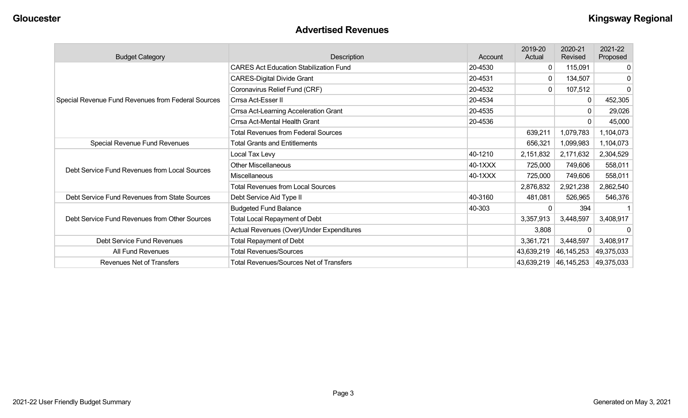#### **Advertised Revenues**

| <b>Budget Category</b>                             | Description                                    | Account | 2019-20<br>Actual | 2020-21<br>Revised | 2021-22<br>Proposed |
|----------------------------------------------------|------------------------------------------------|---------|-------------------|--------------------|---------------------|
|                                                    | <b>CARES Act Education Stabilization Fund</b>  | 20-4530 | $\overline{0}$    | 115,091            |                     |
|                                                    | <b>CARES-Digital Divide Grant</b>              | 20-4531 | 0                 | 134,507            |                     |
|                                                    | Coronavirus Relief Fund (CRF)                  | 20-4532 | 0                 | 107,512            | 0                   |
| Special Revenue Fund Revenues from Federal Sources | Crrsa Act-Esser II                             | 20-4534 |                   | 0                  | 452,305             |
|                                                    | Crrsa Act-Learning Acceleration Grant          | 20-4535 |                   | 0                  | 29,026              |
|                                                    | Crrsa Act-Mental Health Grant                  | 20-4536 |                   | 0                  | 45,000              |
|                                                    | Total Revenues from Federal Sources            |         | 639,211           | 1,079,783          | 1,104,073           |
| Special Revenue Fund Revenues                      | <b>Total Grants and Entitlements</b>           |         | 656,321           | 1,099,983          | 1,104,073           |
|                                                    | Local Tax Levy                                 | 40-1210 | 2,151,832         | 2,171,632          | 2,304,529           |
| Debt Service Fund Revenues from Local Sources      | <b>Other Miscellaneous</b>                     | 40-1XXX | 725,000           | 749,606            | 558,011             |
|                                                    | Miscellaneous                                  | 40-1XXX | 725,000           | 749,606            | 558,011             |
|                                                    | <b>Total Revenues from Local Sources</b>       |         | 2,876,832         | 2,921,238          | 2,862,540           |
| Debt Service Fund Revenues from State Sources      | Debt Service Aid Type II                       | 40-3160 | 481,081           | 526,965            | 546,376             |
|                                                    | <b>Budgeted Fund Balance</b>                   | 40-303  |                   | 394                |                     |
| Debt Service Fund Revenues from Other Sources      | <b>Total Local Repayment of Debt</b>           |         | 3,357,913         | 3,448,597          | 3,408,917           |
|                                                    | Actual Revenues (Over)/Under Expenditures      |         | 3,808             | 0                  | 0                   |
| Debt Service Fund Revenues                         | <b>Total Repayment of Debt</b>                 |         | 3,361,721         | 3,448,597          | 3,408,917           |
| All Fund Revenues                                  | <b>Total Revenues/Sources</b>                  |         | 43,639,219        | 46, 145, 253       | 49,375,033          |
| Revenues Net of Transfers                          | <b>Total Revenues/Sources Net of Transfers</b> |         | 43,639,219        | 46,145,253         | 49,375,033          |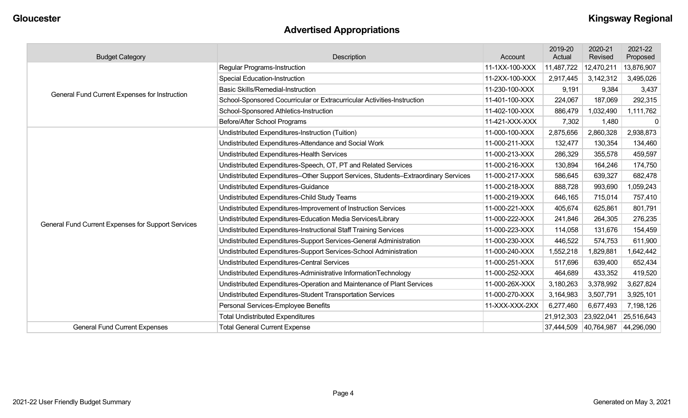## **Advertised Appropriations**

| <b>Budget Category</b>                             | Description                                                                        | Account        | 2019-20<br>Actual | 2020-21<br>Revised | 2021-22<br>Proposed |
|----------------------------------------------------|------------------------------------------------------------------------------------|----------------|-------------------|--------------------|---------------------|
|                                                    | <b>Regular Programs-Instruction</b>                                                | 11-1XX-100-XXX | 11,487,722        | 12,470,211         | 13,876,907          |
|                                                    | <b>Special Education-Instruction</b>                                               | 11-2XX-100-XXX | 2,917,445         | 3,142,312          | 3,495,026           |
| General Fund Current Expenses for Instruction      | <b>Basic Skills/Remedial-Instruction</b>                                           | 11-230-100-XXX | 9,191             | 9,384              | 3,437               |
|                                                    | School-Sponsored Cocurricular or Extracurricular Activities-Instruction            | 11-401-100-XXX | 224,067           | 187,069            | 292,315             |
|                                                    | School-Sponsored Athletics-Instruction                                             | 11-402-100-XXX | 886,479           | 1,032,490          | 1,111,762           |
|                                                    | Before/After School Programs                                                       | 11-421-XXX-XXX | 7,302             | 1,480              | 0                   |
|                                                    | Undistributed Expenditures-Instruction (Tuition)                                   | 11-000-100-XXX | 2,875,656         | 2,860,328          | 2,938,873           |
|                                                    | Undistributed Expenditures-Attendance and Social Work                              | 11-000-211-XXX | 132,477           | 130,354            | 134,460             |
|                                                    | Undistributed Expenditures-Health Services                                         | 11-000-213-XXX | 286,329           | 355,578            | 459,597             |
|                                                    | Undistributed Expenditures-Speech, OT, PT and Related Services                     | 11-000-216-XXX | 130,894           | 164,246            | 174,750             |
|                                                    | Undistributed Expenditures-Other Support Services, Students-Extraordinary Services | 11-000-217-XXX | 586,645           | 639,327            | 682,478             |
|                                                    | Undistributed Expenditures-Guidance                                                | 11-000-218-XXX | 888,728           | 993,690            | 1,059,243           |
|                                                    | Undistributed Expenditures-Child Study Teams                                       | 11-000-219-XXX | 646,165           | 715,014            | 757,410             |
|                                                    | Undistributed Expenditures-Improvement of Instruction Services                     | 11-000-221-XXX | 405,674           | 625,861            | 801,791             |
| General Fund Current Expenses for Support Services | Undistributed Expenditures-Education Media Services/Library                        | 11-000-222-XXX | 241,846           | 264,305            | 276,235             |
|                                                    | Undistributed Expenditures-Instructional Staff Training Services                   | 11-000-223-XXX | 114,058           | 131,676            | 154,459             |
|                                                    | Undistributed Expenditures-Support Services-General Administration                 | 11-000-230-XXX | 446,522           | 574,753            | 611,900             |
|                                                    | Undistributed Expenditures-Support Services-School Administration                  | 11-000-240-XXX | 1,552,218         | ,829,881           | 1,642,442           |
|                                                    | <b>Undistributed Expenditures-Central Services</b>                                 | 11-000-251-XXX | 517,696           | 639,400            | 652,434             |
|                                                    | Undistributed Expenditures-Administrative InformationTechnology                    | 11-000-252-XXX | 464,689           | 433,352            | 419,520             |
|                                                    | Undistributed Expenditures-Operation and Maintenance of Plant Services             | 11-000-26X-XXX | 3,180,263         | 3,378,992          | 3,627,824           |
|                                                    | Undistributed Expenditures-Student Transportation Services                         | 11-000-270-XXX | 3,164,983         | 3,507,791          | 3,925,101           |
|                                                    | Personal Services-Employee Benefits                                                | 11-XXX-XXX-2XX | 6,277,460         | 6,677,493          | 7,198,126           |
|                                                    | <b>Total Undistributed Expenditures</b>                                            |                | 21,912,303        | 23,922,041         | 25,516,643          |
| <b>General Fund Current Expenses</b>               | <b>Total General Current Expense</b>                                               |                | 37,444,509        | 40,764,987         | 44,296,090          |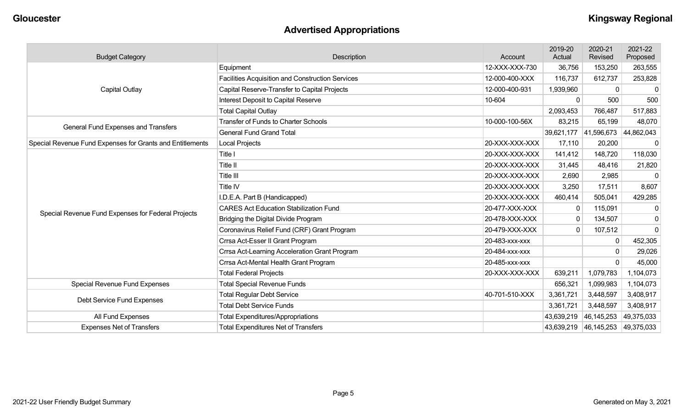## **Advertised Appropriations**

| <b>Budget Category</b>                                    | Description                                             | Account        | 2019-20<br>Actual | 2020-21<br>Revised    | 2021-22<br>Proposed |
|-----------------------------------------------------------|---------------------------------------------------------|----------------|-------------------|-----------------------|---------------------|
|                                                           | Equipment                                               | 12-XXX-XXX-730 | 36,756            | 153,250               | 263,555             |
|                                                           | <b>Facilities Acquisition and Construction Services</b> | 12-000-400-XXX | 116,737           | 612,737               | 253,828             |
| <b>Capital Outlay</b>                                     | Capital Reserve-Transfer to Capital Projects            | 12-000-400-931 | 1,939,960         | $\Omega$              | $\mathbf 0$         |
|                                                           | Interest Deposit to Capital Reserve                     | 10-604         | $\Omega$          | 500                   | 500                 |
|                                                           | <b>Total Capital Outlay</b>                             |                | 2,093,453         | 766,487               | 517,883             |
| <b>General Fund Expenses and Transfers</b>                | <b>Transfer of Funds to Charter Schools</b>             | 10-000-100-56X | 83,215            | 65,199                | 48,070              |
|                                                           | <b>General Fund Grand Total</b>                         |                |                   | 39,621,177 41,596,673 | 44,862,043          |
| Special Revenue Fund Expenses for Grants and Entitlements | <b>Local Projects</b>                                   | 20-XXX-XXX-XXX | 17,110            | 20,200                | $\mathbf 0$         |
|                                                           | Title I                                                 | 20-XXX-XXX-XXX | 141,412           | 148,720               | 118,030             |
|                                                           | Title II                                                | 20-XXX-XXX-XXX | 31,445            | 48,416                | 21,820              |
|                                                           | Title III                                               | 20-XXX-XXX-XXX | 2,690             | 2,985                 | $\mathbf 0$         |
|                                                           | Title IV                                                | 20-XXX-XXX-XXX | 3,250             | 17,511                | 8,607               |
|                                                           | I.D.E.A. Part B (Handicapped)                           | 20-XXX-XXX-XXX | 460,414           | 505,041               | 429,285             |
| Special Revenue Fund Expenses for Federal Projects        | <b>CARES Act Education Stabilization Fund</b>           | 20-477-XXX-XXX | $\mathbf{0}$      | 115,091               | 0                   |
|                                                           | Bridging the Digital Divide Program                     | 20-478-XXX-XXX | $\mathbf{0}$      | 134,507               | 0                   |
|                                                           | Coronavirus Relief Fund (CRF) Grant Program             | 20-479-XXX-XXX | $\mathbf{0}$      | 107,512               | $\Omega$            |
|                                                           | Crrsa Act-Esser II Grant Program                        | 20-483-xxx-xxx |                   | $\mathbf{0}$          | 452,305             |
|                                                           | Crrsa Act-Learning Acceleration Grant Program           | 20-484-xxx-xxx |                   | $\mathbf{0}$          | 29,026              |
|                                                           | Crrsa Act-Mental Health Grant Program                   | 20-485-xxx-xxx |                   | $\Omega$              | 45,000              |
|                                                           | <b>Total Federal Projects</b>                           | 20-XXX-XXX-XXX | 639,211           | 1,079,783             | 1,104,073           |
| <b>Special Revenue Fund Expenses</b>                      | <b>Total Special Revenue Funds</b>                      |                | 656,321           | 1,099,983             | 1,104,073           |
| Debt Service Fund Expenses                                | <b>Total Regular Debt Service</b>                       | 40-701-510-XXX | 3,361,721         | 3,448,597             | 3,408,917           |
|                                                           | <b>Total Debt Service Funds</b>                         |                | 3,361,721         | 3,448,597             | 3,408,917           |
| All Fund Expenses                                         | <b>Total Expenditures/Appropriations</b>                |                | 43,639,219        | 46,145,253            | 49,375,033          |
| <b>Expenses Net of Transfers</b>                          | <b>Total Expenditures Net of Transfers</b>              |                | 43,639,219        | 46,145,253            | 49,375,033          |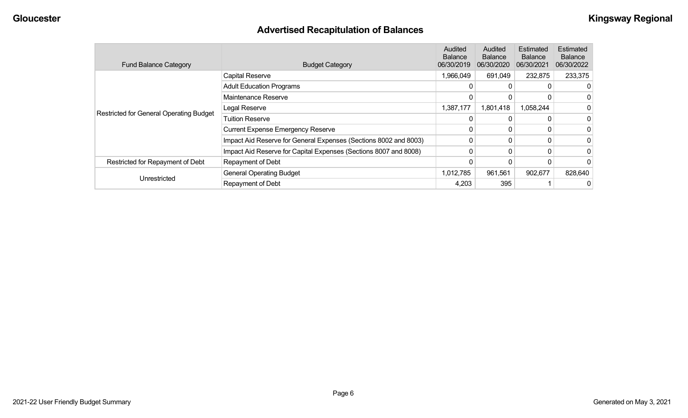## **Advertised Recapitulation of Balances**

| <b>Fund Balance Category</b>                   | <b>Budget Category</b>                                           | Audited<br><b>Balance</b><br>06/30/2019 | <b>Audited</b><br><b>Balance</b><br>06/30/2020 | Estimated<br><b>Balance</b><br>06/30/2021 | Estimated<br><b>Balance</b><br>06/30/2022 |
|------------------------------------------------|------------------------------------------------------------------|-----------------------------------------|------------------------------------------------|-------------------------------------------|-------------------------------------------|
|                                                | Capital Reserve                                                  | 1,966,049                               | 691,049                                        | 232,875                                   | 233,375                                   |
|                                                | <b>Adult Education Programs</b>                                  | 0                                       |                                                |                                           | 0                                         |
|                                                | Maintenance Reserve                                              |                                         |                                                |                                           | 0                                         |
|                                                | Legal Reserve                                                    | 1,387,177                               | 1,801,418                                      | 1,058,244                                 | 0                                         |
| <b>Restricted for General Operating Budget</b> | <b>Tuition Reserve</b>                                           |                                         |                                                |                                           | 0                                         |
|                                                | <b>Current Expense Emergency Reserve</b>                         |                                         |                                                |                                           | 0                                         |
|                                                | Impact Aid Reserve for General Expenses (Sections 8002 and 8003) | 0                                       |                                                |                                           | 0                                         |
|                                                | Impact Aid Reserve for Capital Expenses (Sections 8007 and 8008) | 0                                       |                                                |                                           | 0                                         |
| Restricted for Repayment of Debt               | Repayment of Debt                                                |                                         |                                                |                                           | 0                                         |
|                                                | <b>General Operating Budget</b>                                  | 1,012,785                               | 961,561                                        | 902,677                                   | 828,640                                   |
| Unrestricted                                   | Repayment of Debt                                                | 4,203                                   | 395                                            |                                           | 0                                         |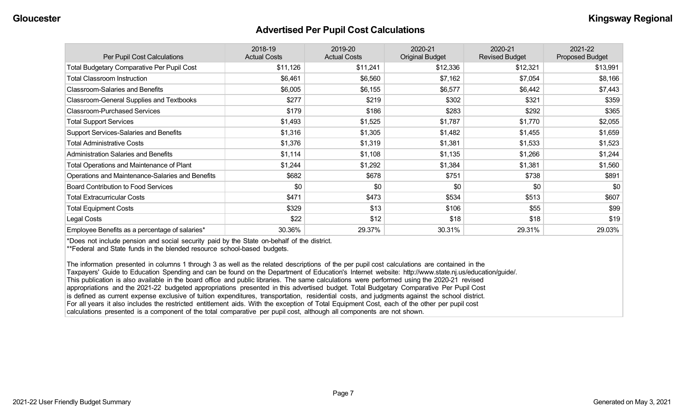#### **Advertised Per Pupil Cost Calculations**

| Per Pupil Cost Calculations                       | 2018-19<br><b>Actual Costs</b> | 2019-20<br><b>Actual Costs</b> | 2020-21<br><b>Original Budget</b> | 2020-21<br><b>Revised Budget</b> | 2021-22<br><b>Proposed Budget</b> |
|---------------------------------------------------|--------------------------------|--------------------------------|-----------------------------------|----------------------------------|-----------------------------------|
| <b>Total Budgetary Comparative Per Pupil Cost</b> | \$11,126                       | \$11,241                       | \$12,336                          | \$12,321                         | \$13,991                          |
| <b>Total Classroom Instruction</b>                | \$6,461                        | \$6,560                        | \$7,162                           | \$7,054                          | \$8,166                           |
| <b>Classroom-Salaries and Benefits</b>            | \$6,005                        | \$6,155                        | \$6,577                           | \$6,442                          | \$7,443                           |
| Classroom-General Supplies and Textbooks          | \$277                          | \$219                          | \$302                             | \$321                            | \$359                             |
| <b>Classroom-Purchased Services</b>               | \$179                          | \$186                          | \$283                             | \$292                            | \$365                             |
| <b>Total Support Services</b>                     | \$1,493                        | \$1,525                        | \$1,787                           | \$1,770                          | \$2,055                           |
| Support Services-Salaries and Benefits            | \$1,316                        | \$1,305                        | \$1,482                           | \$1,455                          | \$1,659                           |
| <b>Total Administrative Costs</b>                 | \$1,376                        | \$1,319                        | \$1,381                           | \$1,533                          | \$1,523                           |
| <b>Administration Salaries and Benefits</b>       | \$1,114                        | \$1,108                        | \$1,135                           | \$1,266                          | \$1,244                           |
| Total Operations and Maintenance of Plant         | \$1,244                        | \$1,292                        | \$1,384                           | \$1,381                          | \$1,560                           |
| Operations and Maintenance-Salaries and Benefits  | \$682                          | \$678                          | \$751                             | \$738                            | \$891                             |
| <b>Board Contribution to Food Services</b>        | \$0                            | \$0                            | \$0                               | \$0                              | \$0                               |
| <b>Total Extracurricular Costs</b>                | \$471                          | \$473                          | \$534                             | \$513                            | \$607                             |
| <b>Total Equipment Costs</b>                      | \$329                          | \$13                           | \$106                             | \$55                             | \$99                              |
| Legal Costs                                       | \$22                           | \$12                           | \$18                              | \$18                             | \$19                              |
| Employee Benefits as a percentage of salaries*    | 30.36%                         | 29.37%                         | 30.31%                            | 29.31%                           | 29.03%                            |

\*Does not include pension and social security paid by the State on-behalf of the district.

\*\*Federal and State funds in the blended resource school-based budgets.

The information presented in columns 1 through 3 as well as the related descriptions of the per pupil cost calculations are contained in the Taxpayers' Guide to Education Spending and can be found on the Department of Education's Internet website: http://www.state.nj.us/education/guide/. This publication is also available in the board office and public libraries. The same calculations were performed using the 2020-21 revised appropriations and the 2021-22 budgeted appropriations presented in this advertised budget. Total Budgetary Comparative Per Pupil Cost is defined as current expense exclusive of tuition expenditures, transportation, residential costs, and judgments against the school district. For all years it also includes the restricted entitlement aids. With the exception of Total Equipment Cost, each of the other per pupil cost calculations presented is a component of the total comparative per pupil cost, although all components are not shown.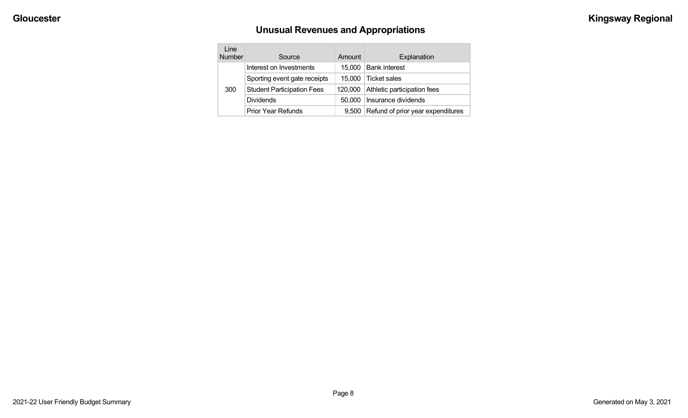# **Unusual Revenues and Appropriations**

| Line<br>Number | Source                            | Amount  | Explanation                       |
|----------------|-----------------------------------|---------|-----------------------------------|
|                | Interest on Investments           | 15,000  | <b>Bank interest</b>              |
| 300            | Sporting event gate receipts      | 15,000  | <b>Ticket sales</b>               |
|                | <b>Student Participation Fees</b> | 120,000 | Athletic participation fees       |
|                | <b>Dividends</b>                  | 50,000  | Insurance dividends               |
|                | <b>Prior Year Refunds</b>         | 9.500   | Refund of prior year expenditures |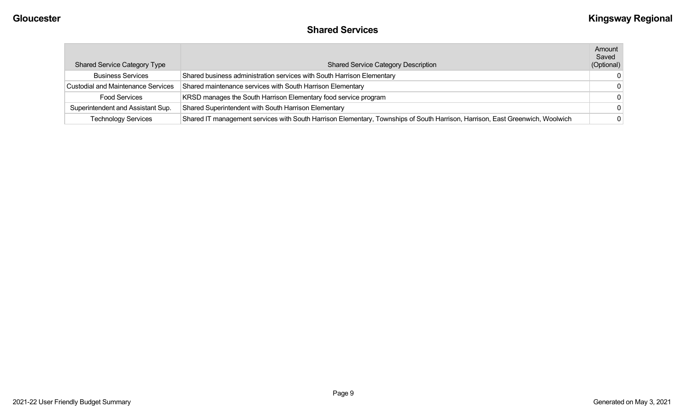## **Shared Services**

| <b>Shared Service Category Type</b>       | <b>Shared Service Category Description</b>                                                                                    | Amount<br>Saved<br>(Optional) |
|-------------------------------------------|-------------------------------------------------------------------------------------------------------------------------------|-------------------------------|
| <b>Business Services</b>                  | Shared business administration services with South Harrison Elementary                                                        | $\Omega$                      |
| <b>Custodial and Maintenance Services</b> | Shared maintenance services with South Harrison Elementary                                                                    | - 0                           |
| <b>Food Services</b>                      | KRSD manages the South Harrison Elementary food service program                                                               | $\Omega$                      |
| Superintendent and Assistant Sup.         | Shared Superintendent with South Harrison Elementary                                                                          | $\Omega$                      |
| <b>Technology Services</b>                | Shared IT management services with South Harrison Elementary, Townships of South Harrison, Harrison, East Greenwich, Woolwich | $\mathbf{0}$                  |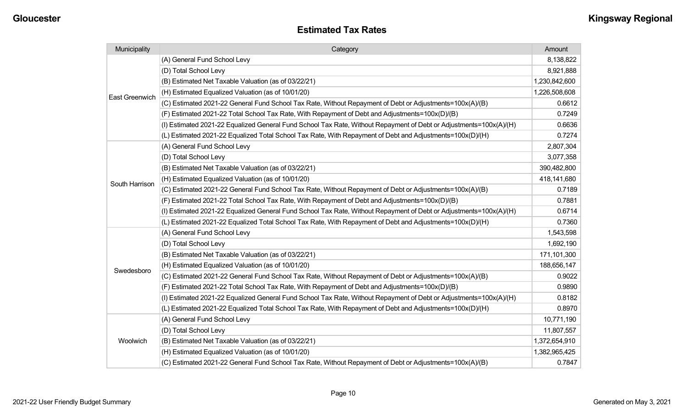| Municipality          | Category                                                                                                           | Amount        |
|-----------------------|--------------------------------------------------------------------------------------------------------------------|---------------|
|                       | (A) General Fund School Levy                                                                                       | 8,138,822     |
|                       | (D) Total School Levy                                                                                              | 8,921,888     |
|                       | (B) Estimated Net Taxable Valuation (as of 03/22/21)                                                               | 1,230,842,600 |
| <b>East Greenwich</b> | (H) Estimated Equalized Valuation (as of 10/01/20)                                                                 | 1,226,508,608 |
|                       | (C) Estimated 2021-22 General Fund School Tax Rate, Without Repayment of Debt or Adjustments=100x(A)/(B)           | 0.6612        |
|                       | (F) Estimated 2021-22 Total School Tax Rate, With Repayment of Debt and Adjustments=100x(D)/(B)                    | 0.7249        |
|                       | (I) Estimated 2021-22 Equalized General Fund School Tax Rate, Without Repayment of Debt or Adjustments=100x(A)/(H) | 0.6636        |
|                       | (L) Estimated 2021-22 Equalized Total School Tax Rate, With Repayment of Debt and Adjustments=100x(D)/(H)          | 0.7274        |
|                       | (A) General Fund School Levy                                                                                       | 2,807,304     |
|                       | (D) Total School Levy                                                                                              | 3,077,358     |
|                       | (B) Estimated Net Taxable Valuation (as of 03/22/21)                                                               | 390,482,800   |
|                       | (H) Estimated Equalized Valuation (as of 10/01/20)                                                                 | 418,141,680   |
| South Harrison        | (C) Estimated 2021-22 General Fund School Tax Rate, Without Repayment of Debt or Adjustments=100x(A)/(B)           | 0.7189        |
|                       | (F) Estimated 2021-22 Total School Tax Rate, With Repayment of Debt and Adjustments=100x(D)/(B)                    | 0.7881        |
|                       | (I) Estimated 2021-22 Equalized General Fund School Tax Rate, Without Repayment of Debt or Adjustments=100x(A)/(H) | 0.6714        |
|                       | (L) Estimated 2021-22 Equalized Total School Tax Rate, With Repayment of Debt and Adjustments=100x(D)/(H)          | 0.7360        |
|                       | (A) General Fund School Levy                                                                                       | 1,543,598     |
|                       | (D) Total School Levy                                                                                              | 1,692,190     |
|                       | (B) Estimated Net Taxable Valuation (as of 03/22/21)                                                               | 171,101,300   |
| Swedesboro            | (H) Estimated Equalized Valuation (as of 10/01/20)                                                                 | 188,656,147   |
|                       | (C) Estimated 2021-22 General Fund School Tax Rate, Without Repayment of Debt or Adjustments=100x(A)/(B)           | 0.9022        |
|                       | (F) Estimated 2021-22 Total School Tax Rate, With Repayment of Debt and Adjustments=100x(D)/(B)                    | 0.9890        |
|                       | (I) Estimated 2021-22 Equalized General Fund School Tax Rate, Without Repayment of Debt or Adjustments=100x(A)/(H) | 0.8182        |
|                       | (L) Estimated 2021-22 Equalized Total School Tax Rate, With Repayment of Debt and Adjustments=100x(D)/(H)          | 0.8970        |
|                       | (A) General Fund School Levy                                                                                       | 10,771,190    |
|                       | (D) Total School Levy                                                                                              | 11,807,557    |
| Woolwich              | (B) Estimated Net Taxable Valuation (as of 03/22/21)                                                               | 1,372,654,910 |
|                       | (H) Estimated Equalized Valuation (as of 10/01/20)                                                                 | 1,382,965,425 |
|                       | (C) Estimated 2021-22 General Fund School Tax Rate, Without Repayment of Debt or Adjustments=100x(A)/(B)           | 0.7847        |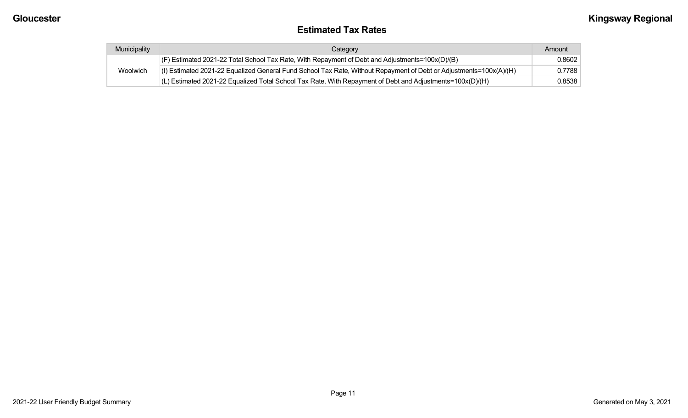#### **Estimated Tax Rates**

| Municipality | Category                                                                                                           | Amount |
|--------------|--------------------------------------------------------------------------------------------------------------------|--------|
|              | (F) Estimated 2021-22 Total School Tax Rate, With Repayment of Debt and Adjustments=100x(D)/(B)                    | 0.8602 |
| Woolwich     | (I) Estimated 2021-22 Equalized General Fund School Tax Rate, Without Repayment of Debt or Adjustments=100x(A)/(H) | 0.7788 |
|              | (L) Estimated 2021-22 Equalized Total School Tax Rate, With Repayment of Debt and Adjustments=100x(D)/(H)          | 0.8538 |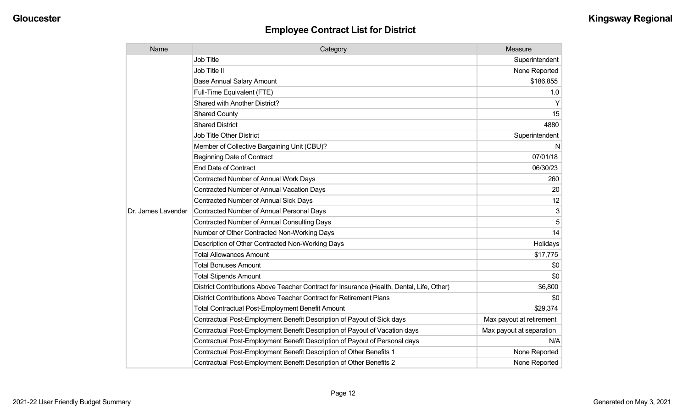| Name               | Category                                                                                  | Measure                  |
|--------------------|-------------------------------------------------------------------------------------------|--------------------------|
|                    | <b>Job Title</b>                                                                          | Superintendent           |
|                    | Job Title II                                                                              | None Reported            |
|                    | <b>Base Annual Salary Amount</b>                                                          | \$186,855                |
|                    | Full-Time Equivalent (FTE)                                                                | 1.0                      |
|                    | <b>Shared with Another District?</b>                                                      | Y                        |
|                    | <b>Shared County</b>                                                                      | 15                       |
|                    | <b>Shared District</b>                                                                    | 4880                     |
|                    | <b>Job Title Other District</b>                                                           | Superintendent           |
|                    | Member of Collective Bargaining Unit (CBU)?                                               | N                        |
|                    | <b>Beginning Date of Contract</b>                                                         | 07/01/18                 |
|                    | <b>End Date of Contract</b>                                                               | 06/30/23                 |
|                    | Contracted Number of Annual Work Days                                                     | 260                      |
|                    | Contracted Number of Annual Vacation Days                                                 | 20                       |
|                    | <b>Contracted Number of Annual Sick Days</b>                                              | 12                       |
| Dr. James Lavender | Contracted Number of Annual Personal Days                                                 | 3                        |
|                    | <b>Contracted Number of Annual Consulting Days</b>                                        | 5                        |
|                    | Number of Other Contracted Non-Working Days                                               | 14                       |
|                    | Description of Other Contracted Non-Working Days                                          | Holidays                 |
|                    | <b>Total Allowances Amount</b>                                                            | \$17,775                 |
|                    | <b>Total Bonuses Amount</b>                                                               | \$0                      |
|                    | <b>Total Stipends Amount</b>                                                              | \$0                      |
|                    | District Contributions Above Teacher Contract for Insurance (Health, Dental, Life, Other) | \$6,800                  |
|                    | District Contributions Above Teacher Contract for Retirement Plans                        | \$0                      |
|                    | <b>Total Contractual Post-Employment Benefit Amount</b>                                   | \$29,374                 |
|                    | Contractual Post-Employment Benefit Description of Payout of Sick days                    | Max payout at retirement |
|                    | Contractual Post-Employment Benefit Description of Payout of Vacation days                | Max payout at separation |
|                    | Contractual Post-Employment Benefit Description of Payout of Personal days                | N/A                      |
|                    | Contractual Post-Employment Benefit Description of Other Benefits 1                       | None Reported            |
|                    | Contractual Post-Employment Benefit Description of Other Benefits 2                       | None Reported            |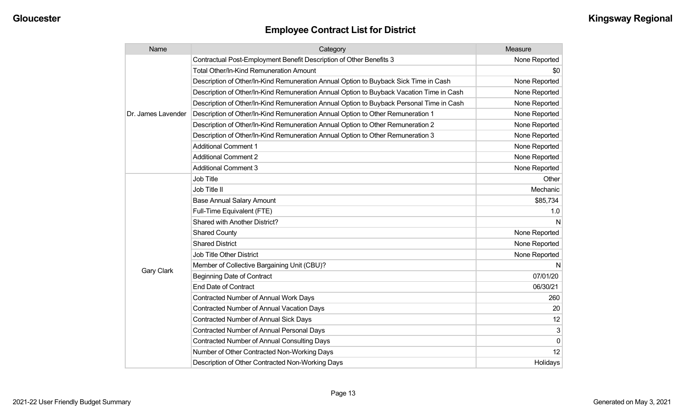| Name               | Category                                                                                 | Measure       |
|--------------------|------------------------------------------------------------------------------------------|---------------|
|                    | Contractual Post-Employment Benefit Description of Other Benefits 3                      | None Reported |
|                    | <b>Total Other/In-Kind Remuneration Amount</b>                                           | \$0           |
|                    | Description of Other/In-Kind Remuneration Annual Option to Buyback Sick Time in Cash     | None Reported |
|                    | Description of Other/In-Kind Remuneration Annual Option to Buyback Vacation Time in Cash | None Reported |
|                    | Description of Other/In-Kind Remuneration Annual Option to Buyback Personal Time in Cash | None Reported |
| Dr. James Lavender | Description of Other/In-Kind Remuneration Annual Option to Other Remuneration 1          | None Reported |
|                    | Description of Other/In-Kind Remuneration Annual Option to Other Remuneration 2          | None Reported |
|                    | Description of Other/In-Kind Remuneration Annual Option to Other Remuneration 3          | None Reported |
|                    | <b>Additional Comment 1</b>                                                              | None Reported |
|                    | <b>Additional Comment 2</b>                                                              | None Reported |
|                    | <b>Additional Comment 3</b>                                                              | None Reported |
|                    | <b>Job Title</b>                                                                         | Other         |
|                    | Job Title II                                                                             | Mechanic      |
|                    | <b>Base Annual Salary Amount</b>                                                         | \$85,734      |
|                    | Full-Time Equivalent (FTE)                                                               | 1.0           |
|                    | Shared with Another District?                                                            | N             |
|                    | <b>Shared County</b>                                                                     | None Reported |
|                    | <b>Shared District</b>                                                                   | None Reported |
|                    | <b>Job Title Other District</b>                                                          | None Reported |
|                    | Member of Collective Bargaining Unit (CBU)?                                              | N             |
| <b>Gary Clark</b>  | <b>Beginning Date of Contract</b>                                                        | 07/01/20      |
|                    | <b>End Date of Contract</b>                                                              | 06/30/21      |
|                    | <b>Contracted Number of Annual Work Days</b>                                             | 260           |
|                    | <b>Contracted Number of Annual Vacation Days</b>                                         | 20            |
|                    | <b>Contracted Number of Annual Sick Days</b>                                             | 12            |
|                    | Contracted Number of Annual Personal Days                                                | 3             |
|                    | <b>Contracted Number of Annual Consulting Days</b>                                       | $\Omega$      |
|                    | Number of Other Contracted Non-Working Days                                              | 12            |
|                    | Description of Other Contracted Non-Working Days                                         | Holidays      |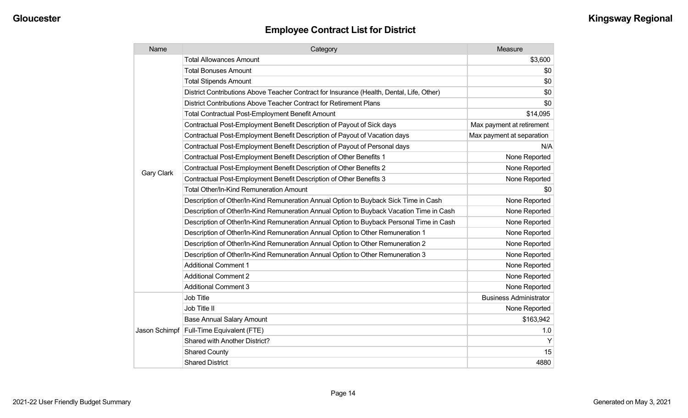| Name              | Category                                                                                  | Measure                       |
|-------------------|-------------------------------------------------------------------------------------------|-------------------------------|
|                   | <b>Total Allowances Amount</b>                                                            | \$3,600                       |
|                   | <b>Total Bonuses Amount</b>                                                               | \$0                           |
|                   | <b>Total Stipends Amount</b>                                                              | \$0                           |
|                   | District Contributions Above Teacher Contract for Insurance (Health, Dental, Life, Other) | \$0                           |
|                   | District Contributions Above Teacher Contract for Retirement Plans                        | \$0                           |
|                   | <b>Total Contractual Post-Employment Benefit Amount</b>                                   | \$14,095                      |
|                   | Contractual Post-Employment Benefit Description of Payout of Sick days                    | Max payment at retirement     |
|                   | Contractual Post-Employment Benefit Description of Payout of Vacation days                | Max payment at separation     |
|                   | Contractual Post-Employment Benefit Description of Payout of Personal days                | N/A                           |
|                   | Contractual Post-Employment Benefit Description of Other Benefits 1                       | None Reported                 |
|                   | Contractual Post-Employment Benefit Description of Other Benefits 2                       | None Reported                 |
| <b>Gary Clark</b> | Contractual Post-Employment Benefit Description of Other Benefits 3                       | None Reported                 |
|                   | Total Other/In-Kind Remuneration Amount                                                   | \$0                           |
|                   | Description of Other/In-Kind Remuneration Annual Option to Buyback Sick Time in Cash      | None Reported                 |
|                   | Description of Other/In-Kind Remuneration Annual Option to Buyback Vacation Time in Cash  | None Reported                 |
|                   | Description of Other/In-Kind Remuneration Annual Option to Buyback Personal Time in Cash  | None Reported                 |
|                   | Description of Other/In-Kind Remuneration Annual Option to Other Remuneration 1           | None Reported                 |
|                   | Description of Other/In-Kind Remuneration Annual Option to Other Remuneration 2           | None Reported                 |
|                   | Description of Other/In-Kind Remuneration Annual Option to Other Remuneration 3           | None Reported                 |
|                   | <b>Additional Comment 1</b>                                                               | None Reported                 |
|                   | <b>Additional Comment 2</b>                                                               | None Reported                 |
|                   | <b>Additional Comment 3</b>                                                               | None Reported                 |
|                   | <b>Job Title</b>                                                                          | <b>Business Administrator</b> |
|                   | Job Title II                                                                              | None Reported                 |
|                   | <b>Base Annual Salary Amount</b>                                                          | \$163,942                     |
| Jason Schimpf     | Full-Time Equivalent (FTE)                                                                | 1.0                           |
|                   | Shared with Another District?                                                             | Y                             |
|                   | <b>Shared County</b>                                                                      | 15                            |
|                   | <b>Shared District</b>                                                                    | 4880                          |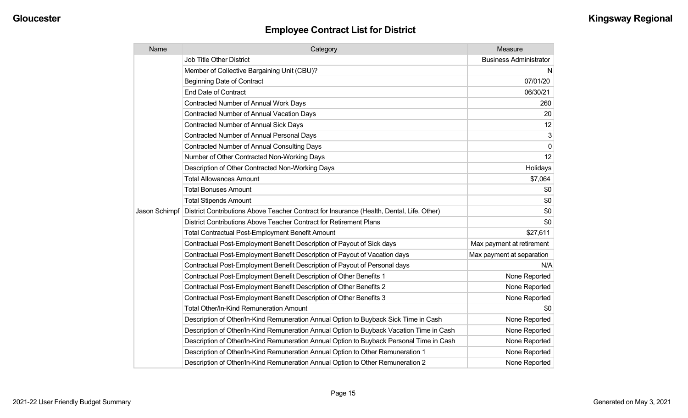| Name          | Category                                                                                  | Measure                       |
|---------------|-------------------------------------------------------------------------------------------|-------------------------------|
|               | <b>Job Title Other District</b>                                                           | <b>Business Administrator</b> |
|               | Member of Collective Bargaining Unit (CBU)?                                               | N.                            |
|               | <b>Beginning Date of Contract</b>                                                         | 07/01/20                      |
|               | <b>End Date of Contract</b>                                                               | 06/30/21                      |
|               | Contracted Number of Annual Work Days                                                     | 260                           |
|               | <b>Contracted Number of Annual Vacation Days</b>                                          | 20                            |
|               | <b>Contracted Number of Annual Sick Days</b>                                              | 12                            |
|               | Contracted Number of Annual Personal Days                                                 | 3                             |
|               | <b>Contracted Number of Annual Consulting Days</b>                                        | $\mathbf 0$                   |
|               | Number of Other Contracted Non-Working Days                                               | 12                            |
|               | Description of Other Contracted Non-Working Days                                          | Holidays                      |
|               | <b>Total Allowances Amount</b>                                                            | \$7,064                       |
|               | <b>Total Bonuses Amount</b>                                                               | \$0                           |
|               | <b>Total Stipends Amount</b>                                                              | \$0                           |
| Jason Schimpf | District Contributions Above Teacher Contract for Insurance (Health, Dental, Life, Other) | \$0                           |
|               | District Contributions Above Teacher Contract for Retirement Plans                        | \$0                           |
|               | Total Contractual Post-Employment Benefit Amount                                          | \$27,611                      |
|               | Contractual Post-Employment Benefit Description of Payout of Sick days                    | Max payment at retirement     |
|               | Contractual Post-Employment Benefit Description of Payout of Vacation days                | Max payment at separation     |
|               | Contractual Post-Employment Benefit Description of Payout of Personal days                | N/A                           |
|               | Contractual Post-Employment Benefit Description of Other Benefits 1                       | None Reported                 |
|               | Contractual Post-Employment Benefit Description of Other Benefits 2                       | None Reported                 |
|               | Contractual Post-Employment Benefit Description of Other Benefits 3                       | None Reported                 |
|               | <b>Total Other/In-Kind Remuneration Amount</b>                                            | \$0                           |
|               | Description of Other/In-Kind Remuneration Annual Option to Buyback Sick Time in Cash      | None Reported                 |
|               | Description of Other/In-Kind Remuneration Annual Option to Buyback Vacation Time in Cash  | None Reported                 |
|               | Description of Other/In-Kind Remuneration Annual Option to Buyback Personal Time in Cash  | None Reported                 |
|               | Description of Other/In-Kind Remuneration Annual Option to Other Remuneration 1           | None Reported                 |
|               | Description of Other/In-Kind Remuneration Annual Option to Other Remuneration 2           | None Reported                 |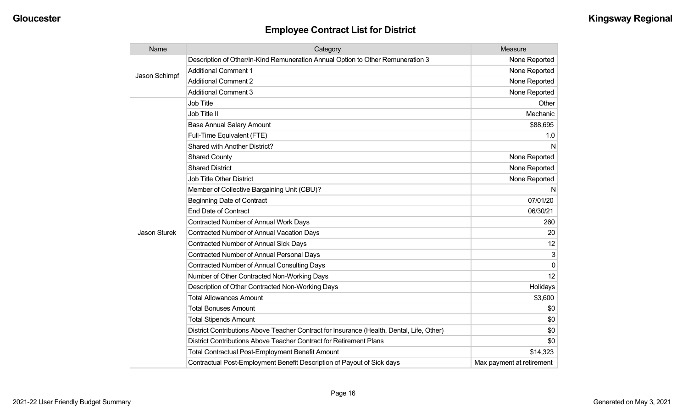| Name                | Category                                                                                  | Measure                   |
|---------------------|-------------------------------------------------------------------------------------------|---------------------------|
| Jason Schimpf       | Description of Other/In-Kind Remuneration Annual Option to Other Remuneration 3           | None Reported             |
|                     | <b>Additional Comment 1</b>                                                               | None Reported             |
|                     | <b>Additional Comment 2</b>                                                               | None Reported             |
|                     | <b>Additional Comment 3</b>                                                               | None Reported             |
|                     | <b>Job Title</b>                                                                          | Other                     |
|                     | Job Title II                                                                              | Mechanic                  |
|                     | <b>Base Annual Salary Amount</b>                                                          | \$88,695                  |
|                     | Full-Time Equivalent (FTE)                                                                | 1.0                       |
|                     | <b>Shared with Another District?</b>                                                      | N                         |
|                     | <b>Shared County</b>                                                                      | None Reported             |
|                     | <b>Shared District</b>                                                                    | None Reported             |
|                     | <b>Job Title Other District</b>                                                           | None Reported             |
|                     | Member of Collective Bargaining Unit (CBU)?                                               | N                         |
|                     | <b>Beginning Date of Contract</b>                                                         | 07/01/20                  |
|                     | <b>End Date of Contract</b>                                                               | 06/30/21                  |
|                     | Contracted Number of Annual Work Days                                                     | 260                       |
| <b>Jason Sturek</b> | <b>Contracted Number of Annual Vacation Days</b>                                          | 20                        |
|                     | <b>Contracted Number of Annual Sick Days</b>                                              | 12                        |
|                     | <b>Contracted Number of Annual Personal Days</b>                                          | 3                         |
|                     | <b>Contracted Number of Annual Consulting Days</b>                                        | $\Omega$                  |
|                     | Number of Other Contracted Non-Working Days                                               | 12                        |
|                     | Description of Other Contracted Non-Working Days                                          | Holidays                  |
|                     | <b>Total Allowances Amount</b>                                                            | \$3,600                   |
|                     | <b>Total Bonuses Amount</b>                                                               | \$0                       |
|                     | <b>Total Stipends Amount</b>                                                              | \$0                       |
|                     | District Contributions Above Teacher Contract for Insurance (Health, Dental, Life, Other) | \$0                       |
|                     | District Contributions Above Teacher Contract for Retirement Plans                        | \$0                       |
|                     | <b>Total Contractual Post-Employment Benefit Amount</b>                                   | \$14,323                  |
|                     | Contractual Post-Employment Benefit Description of Payout of Sick days                    | Max payment at retirement |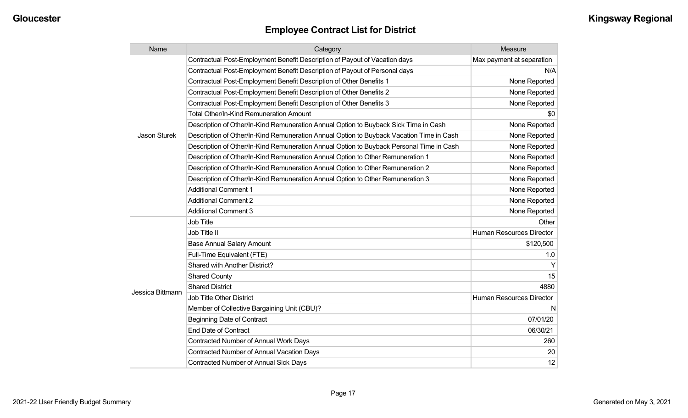| Name             | Category                                                                                 | Measure                   |
|------------------|------------------------------------------------------------------------------------------|---------------------------|
|                  | Contractual Post-Employment Benefit Description of Payout of Vacation days               | Max payment at separation |
|                  | Contractual Post-Employment Benefit Description of Payout of Personal days               | N/A                       |
|                  | Contractual Post-Employment Benefit Description of Other Benefits 1                      | None Reported             |
|                  | Contractual Post-Employment Benefit Description of Other Benefits 2                      | None Reported             |
|                  | Contractual Post-Employment Benefit Description of Other Benefits 3                      | None Reported             |
|                  | <b>Total Other/In-Kind Remuneration Amount</b>                                           | \$0                       |
|                  | Description of Other/In-Kind Remuneration Annual Option to Buyback Sick Time in Cash     | None Reported             |
| Jason Sturek     | Description of Other/In-Kind Remuneration Annual Option to Buyback Vacation Time in Cash | None Reported             |
|                  | Description of Other/In-Kind Remuneration Annual Option to Buyback Personal Time in Cash | None Reported             |
|                  | Description of Other/In-Kind Remuneration Annual Option to Other Remuneration 1          | None Reported             |
|                  | Description of Other/In-Kind Remuneration Annual Option to Other Remuneration 2          | None Reported             |
|                  | Description of Other/In-Kind Remuneration Annual Option to Other Remuneration 3          | None Reported             |
|                  | <b>Additional Comment 1</b>                                                              | None Reported             |
|                  | <b>Additional Comment 2</b>                                                              | None Reported             |
|                  | <b>Additional Comment 3</b>                                                              | None Reported             |
|                  | Job Title                                                                                | Other                     |
|                  | Job Title II                                                                             | Human Resources Director  |
|                  | <b>Base Annual Salary Amount</b>                                                         | \$120,500                 |
|                  | Full-Time Equivalent (FTE)                                                               | 1.0                       |
|                  | Shared with Another District?                                                            |                           |
|                  | <b>Shared County</b>                                                                     | 15                        |
|                  | <b>Shared District</b>                                                                   | 4880                      |
| Jessica Bittmann | <b>Job Title Other District</b>                                                          | Human Resources Director  |
|                  | Member of Collective Bargaining Unit (CBU)?                                              | N                         |
|                  | <b>Beginning Date of Contract</b>                                                        | 07/01/20                  |
|                  | <b>End Date of Contract</b>                                                              | 06/30/21                  |
|                  | <b>Contracted Number of Annual Work Days</b>                                             | 260                       |
|                  | <b>Contracted Number of Annual Vacation Days</b>                                         | 20                        |
|                  | <b>Contracted Number of Annual Sick Days</b>                                             | 12                        |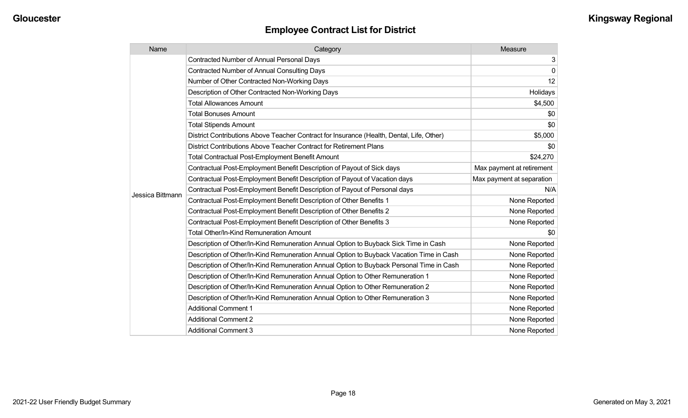| Name             | Category                                                                                  | Measure                   |
|------------------|-------------------------------------------------------------------------------------------|---------------------------|
|                  | <b>Contracted Number of Annual Personal Days</b>                                          | 3                         |
|                  | <b>Contracted Number of Annual Consulting Days</b>                                        | $\pmb{0}$                 |
|                  | Number of Other Contracted Non-Working Days                                               | 12                        |
|                  | Description of Other Contracted Non-Working Days                                          | Holidays                  |
|                  | <b>Total Allowances Amount</b>                                                            | \$4,500                   |
|                  | <b>Total Bonuses Amount</b>                                                               | \$0                       |
|                  | <b>Total Stipends Amount</b>                                                              | \$0                       |
|                  | District Contributions Above Teacher Contract for Insurance (Health, Dental, Life, Other) | \$5,000                   |
|                  | District Contributions Above Teacher Contract for Retirement Plans                        | \$0                       |
|                  | <b>Total Contractual Post-Employment Benefit Amount</b>                                   | \$24,270                  |
|                  | Contractual Post-Employment Benefit Description of Payout of Sick days                    | Max payment at retirement |
|                  | Contractual Post-Employment Benefit Description of Payout of Vacation days                | Max payment at separation |
| Jessica Bittmann | Contractual Post-Employment Benefit Description of Payout of Personal days                | N/A                       |
|                  | Contractual Post-Employment Benefit Description of Other Benefits 1                       | None Reported             |
|                  | Contractual Post-Employment Benefit Description of Other Benefits 2                       | None Reported             |
|                  | Contractual Post-Employment Benefit Description of Other Benefits 3                       | None Reported             |
|                  | Total Other/In-Kind Remuneration Amount                                                   | \$0                       |
|                  | Description of Other/In-Kind Remuneration Annual Option to Buyback Sick Time in Cash      | None Reported             |
|                  | Description of Other/In-Kind Remuneration Annual Option to Buyback Vacation Time in Cash  | None Reported             |
|                  | Description of Other/In-Kind Remuneration Annual Option to Buyback Personal Time in Cash  | None Reported             |
|                  | Description of Other/In-Kind Remuneration Annual Option to Other Remuneration 1           | None Reported             |
|                  | Description of Other/In-Kind Remuneration Annual Option to Other Remuneration 2           | None Reported             |
|                  | Description of Other/In-Kind Remuneration Annual Option to Other Remuneration 3           | None Reported             |
|                  | <b>Additional Comment 1</b>                                                               | None Reported             |
|                  | <b>Additional Comment 2</b>                                                               | None Reported             |
|                  | <b>Additional Comment 3</b>                                                               | None Reported             |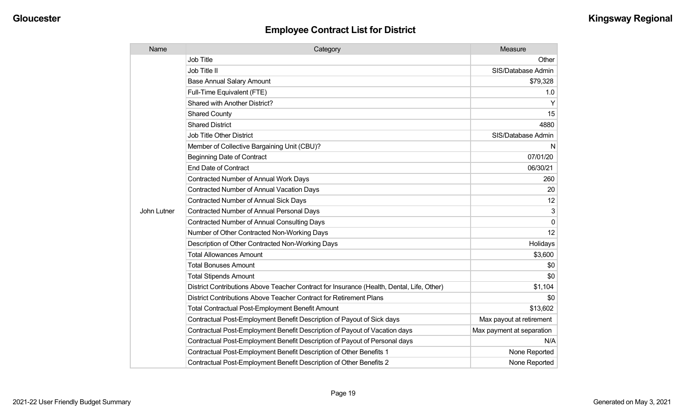| Name        | Category                                                                                  | Measure                   |
|-------------|-------------------------------------------------------------------------------------------|---------------------------|
|             | Job Title                                                                                 | Other                     |
|             | Job Title II                                                                              | SIS/Database Admin        |
|             | <b>Base Annual Salary Amount</b>                                                          | \$79,328                  |
|             | Full-Time Equivalent (FTE)                                                                | 1.0                       |
|             | Shared with Another District?                                                             | Y                         |
|             | <b>Shared County</b>                                                                      | 15                        |
|             | <b>Shared District</b>                                                                    | 4880                      |
|             | Job Title Other District                                                                  | SIS/Database Admin        |
|             | Member of Collective Bargaining Unit (CBU)?                                               | N                         |
|             | <b>Beginning Date of Contract</b>                                                         | 07/01/20                  |
|             | End Date of Contract                                                                      | 06/30/21                  |
|             | Contracted Number of Annual Work Days                                                     | 260                       |
|             | Contracted Number of Annual Vacation Days                                                 | 20                        |
|             | Contracted Number of Annual Sick Days                                                     | 12                        |
| John Lutner | Contracted Number of Annual Personal Days                                                 | 3                         |
|             | <b>Contracted Number of Annual Consulting Days</b>                                        | $\Omega$                  |
|             | Number of Other Contracted Non-Working Days                                               | 12                        |
|             | Description of Other Contracted Non-Working Days                                          | Holidays                  |
|             | <b>Total Allowances Amount</b>                                                            | \$3,600                   |
|             | <b>Total Bonuses Amount</b>                                                               | \$0                       |
|             | <b>Total Stipends Amount</b>                                                              | \$0                       |
|             | District Contributions Above Teacher Contract for Insurance (Health, Dental, Life, Other) | \$1,104                   |
|             | District Contributions Above Teacher Contract for Retirement Plans                        | \$0                       |
|             | <b>Total Contractual Post-Employment Benefit Amount</b>                                   | \$13,602                  |
|             | Contractual Post-Employment Benefit Description of Payout of Sick days                    | Max payout at retirement  |
|             | Contractual Post-Employment Benefit Description of Payout of Vacation days                | Max payment at separation |
|             | Contractual Post-Employment Benefit Description of Payout of Personal days                | N/A                       |
|             | Contractual Post-Employment Benefit Description of Other Benefits 1                       | None Reported             |
|             | Contractual Post-Employment Benefit Description of Other Benefits 2                       | None Reported             |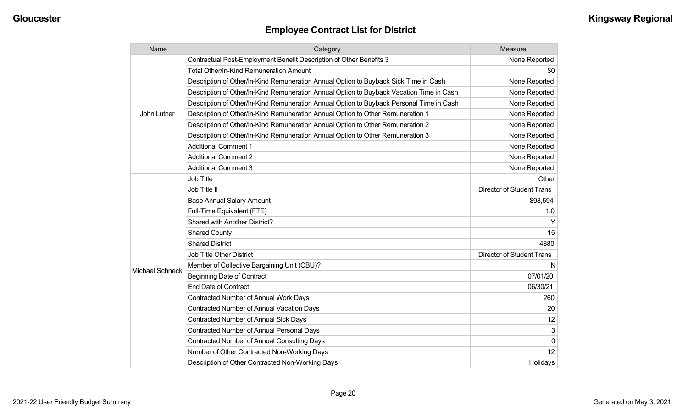| Name                   | Category                                                                                 | Measure                          |
|------------------------|------------------------------------------------------------------------------------------|----------------------------------|
|                        | Contractual Post-Employment Benefit Description of Other Benefits 3                      | None Reported                    |
|                        | <b>Total Other/In-Kind Remuneration Amount</b>                                           | \$0                              |
|                        | Description of Other/In-Kind Remuneration Annual Option to Buyback Sick Time in Cash     | None Reported                    |
|                        | Description of Other/In-Kind Remuneration Annual Option to Buyback Vacation Time in Cash | None Reported                    |
|                        | Description of Other/In-Kind Remuneration Annual Option to Buyback Personal Time in Cash | None Reported                    |
| John Lutner            | Description of Other/In-Kind Remuneration Annual Option to Other Remuneration 1          | None Reported                    |
|                        | Description of Other/In-Kind Remuneration Annual Option to Other Remuneration 2          | None Reported                    |
|                        | Description of Other/In-Kind Remuneration Annual Option to Other Remuneration 3          | None Reported                    |
|                        | <b>Additional Comment 1</b>                                                              | None Reported                    |
|                        | <b>Additional Comment 2</b>                                                              | None Reported                    |
|                        | <b>Additional Comment 3</b>                                                              | None Reported                    |
|                        | Job Title                                                                                | Other                            |
|                        | Job Title II                                                                             | <b>Director of Student Trans</b> |
|                        | <b>Base Annual Salary Amount</b>                                                         | \$93,594                         |
|                        | Full-Time Equivalent (FTE)                                                               | 1.0                              |
|                        | Shared with Another District?                                                            |                                  |
|                        | <b>Shared County</b>                                                                     | 15                               |
|                        | <b>Shared District</b>                                                                   | 4880                             |
|                        | <b>Job Title Other District</b>                                                          | <b>Director of Student Trans</b> |
|                        | Member of Collective Bargaining Unit (CBU)?                                              | N                                |
| <b>Michael Schneck</b> | <b>Beginning Date of Contract</b>                                                        | 07/01/20                         |
|                        | <b>End Date of Contract</b>                                                              | 06/30/21                         |
|                        | <b>Contracted Number of Annual Work Days</b>                                             | 260                              |
|                        | <b>Contracted Number of Annual Vacation Days</b>                                         | 20                               |
|                        | <b>Contracted Number of Annual Sick Days</b>                                             | 12                               |
|                        | Contracted Number of Annual Personal Days                                                | 3                                |
|                        | Contracted Number of Annual Consulting Days                                              | $\mathbf 0$                      |
|                        | Number of Other Contracted Non-Working Days                                              | 12                               |
|                        | Description of Other Contracted Non-Working Days                                         | Holidays                         |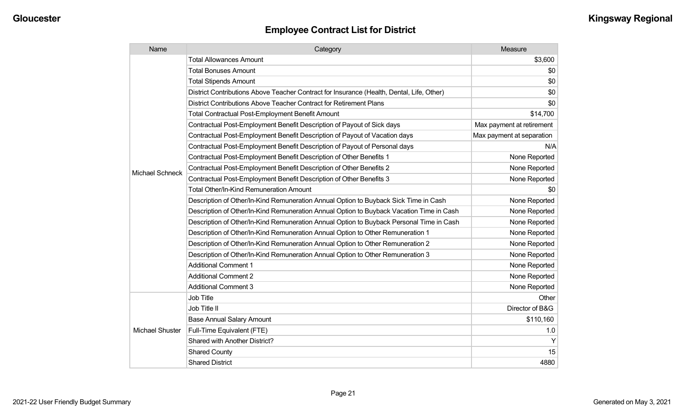| <b>Employee Contract List for District</b> |  |  |  |
|--------------------------------------------|--|--|--|
|--------------------------------------------|--|--|--|

| Name                   | Category                                                                                  | Measure                   |
|------------------------|-------------------------------------------------------------------------------------------|---------------------------|
|                        | <b>Total Allowances Amount</b>                                                            | \$3,600                   |
|                        | <b>Total Bonuses Amount</b>                                                               | \$0                       |
|                        | <b>Total Stipends Amount</b>                                                              | \$0                       |
|                        | District Contributions Above Teacher Contract for Insurance (Health, Dental, Life, Other) | \$0                       |
|                        | District Contributions Above Teacher Contract for Retirement Plans                        | \$0                       |
|                        | Total Contractual Post-Employment Benefit Amount                                          | \$14,700                  |
|                        | Contractual Post-Employment Benefit Description of Payout of Sick days                    | Max payment at retirement |
|                        | Contractual Post-Employment Benefit Description of Payout of Vacation days                | Max payment at separation |
|                        | Contractual Post-Employment Benefit Description of Payout of Personal days                | N/A                       |
|                        | Contractual Post-Employment Benefit Description of Other Benefits 1                       | None Reported             |
| <b>Michael Schneck</b> | Contractual Post-Employment Benefit Description of Other Benefits 2                       | None Reported             |
|                        | Contractual Post-Employment Benefit Description of Other Benefits 3                       | None Reported             |
|                        | Total Other/In-Kind Remuneration Amount                                                   | \$0                       |
|                        | Description of Other/In-Kind Remuneration Annual Option to Buyback Sick Time in Cash      | None Reported             |
|                        | Description of Other/In-Kind Remuneration Annual Option to Buyback Vacation Time in Cash  | None Reported             |
|                        | Description of Other/In-Kind Remuneration Annual Option to Buyback Personal Time in Cash  | None Reported             |
|                        | Description of Other/In-Kind Remuneration Annual Option to Other Remuneration 1           | None Reported             |
|                        | Description of Other/In-Kind Remuneration Annual Option to Other Remuneration 2           | None Reported             |
|                        | Description of Other/In-Kind Remuneration Annual Option to Other Remuneration 3           | None Reported             |
|                        | <b>Additional Comment 1</b>                                                               | None Reported             |
|                        | <b>Additional Comment 2</b>                                                               | None Reported             |
|                        | <b>Additional Comment 3</b>                                                               | None Reported             |
|                        | Job Title                                                                                 | Other                     |
| <b>Michael Shuster</b> | Job Title II                                                                              | Director of B&G           |
|                        | <b>Base Annual Salary Amount</b>                                                          | \$110,160                 |
|                        | Full-Time Equivalent (FTE)                                                                | 1.0                       |
|                        | Shared with Another District?                                                             | Y                         |
|                        | <b>Shared County</b>                                                                      | 15                        |
|                        | <b>Shared District</b>                                                                    | 4880                      |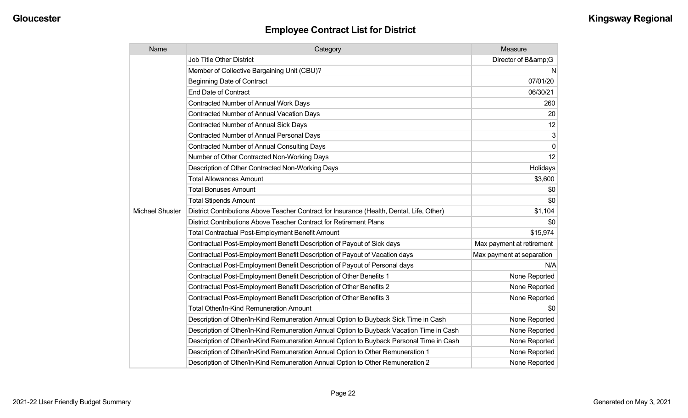| Name            | Category                                                                                  | Measure                   |
|-----------------|-------------------------------------------------------------------------------------------|---------------------------|
|                 | <b>Job Title Other District</b>                                                           | Director of B&G           |
|                 | Member of Collective Bargaining Unit (CBU)?                                               | N                         |
|                 | <b>Beginning Date of Contract</b>                                                         | 07/01/20                  |
|                 | <b>End Date of Contract</b>                                                               | 06/30/21                  |
|                 | <b>Contracted Number of Annual Work Days</b>                                              | 260                       |
|                 | <b>Contracted Number of Annual Vacation Days</b>                                          | 20                        |
|                 | <b>Contracted Number of Annual Sick Days</b>                                              | 12                        |
|                 | Contracted Number of Annual Personal Days                                                 | 3                         |
|                 | <b>Contracted Number of Annual Consulting Days</b>                                        | $\pmb{0}$                 |
|                 | Number of Other Contracted Non-Working Days                                               | 12                        |
|                 | Description of Other Contracted Non-Working Days                                          | Holidays                  |
|                 | <b>Total Allowances Amount</b>                                                            | \$3,600                   |
|                 | <b>Total Bonuses Amount</b>                                                               | \$0                       |
|                 | <b>Total Stipends Amount</b>                                                              | \$0                       |
| Michael Shuster | District Contributions Above Teacher Contract for Insurance (Health, Dental, Life, Other) | \$1,104                   |
|                 | District Contributions Above Teacher Contract for Retirement Plans                        | \$0                       |
|                 | <b>Total Contractual Post-Employment Benefit Amount</b>                                   | \$15,974                  |
|                 | Contractual Post-Employment Benefit Description of Payout of Sick days                    | Max payment at retirement |
|                 | Contractual Post-Employment Benefit Description of Payout of Vacation days                | Max payment at separation |
|                 | Contractual Post-Employment Benefit Description of Payout of Personal days                | N/A                       |
|                 | Contractual Post-Employment Benefit Description of Other Benefits 1                       | None Reported             |
|                 | Contractual Post-Employment Benefit Description of Other Benefits 2                       | None Reported             |
|                 | Contractual Post-Employment Benefit Description of Other Benefits 3                       | None Reported             |
|                 | <b>Total Other/In-Kind Remuneration Amount</b>                                            | \$0                       |
|                 | Description of Other/In-Kind Remuneration Annual Option to Buyback Sick Time in Cash      | None Reported             |
|                 | Description of Other/In-Kind Remuneration Annual Option to Buyback Vacation Time in Cash  | None Reported             |
|                 | Description of Other/In-Kind Remuneration Annual Option to Buyback Personal Time in Cash  | None Reported             |
|                 | Description of Other/In-Kind Remuneration Annual Option to Other Remuneration 1           | None Reported             |
|                 | Description of Other/In-Kind Remuneration Annual Option to Other Remuneration 2           | None Reported             |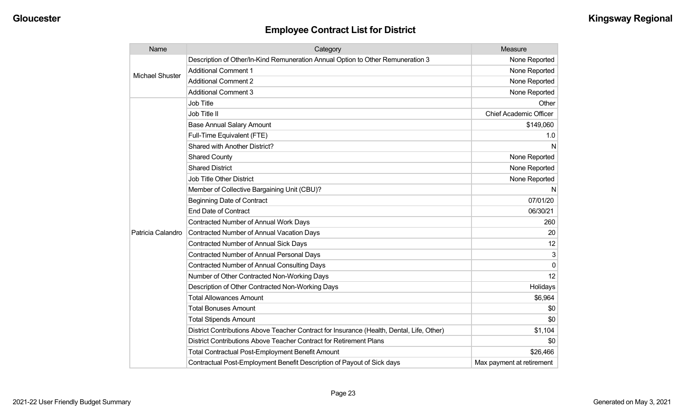| Name                   | Category                                                                                  | Measure                       |
|------------------------|-------------------------------------------------------------------------------------------|-------------------------------|
| <b>Michael Shuster</b> | Description of Other/In-Kind Remuneration Annual Option to Other Remuneration 3           | None Reported                 |
|                        | <b>Additional Comment 1</b>                                                               | None Reported                 |
|                        | <b>Additional Comment 2</b>                                                               | None Reported                 |
|                        | <b>Additional Comment 3</b>                                                               | None Reported                 |
|                        | <b>Job Title</b>                                                                          | Other                         |
|                        | Job Title II                                                                              | <b>Chief Academic Officer</b> |
|                        | <b>Base Annual Salary Amount</b>                                                          | \$149,060                     |
|                        | Full-Time Equivalent (FTE)                                                                | 1.0                           |
|                        | Shared with Another District?                                                             | N                             |
|                        | <b>Shared County</b>                                                                      | None Reported                 |
|                        | <b>Shared District</b>                                                                    | None Reported                 |
|                        | <b>Job Title Other District</b>                                                           | None Reported                 |
|                        | Member of Collective Bargaining Unit (CBU)?                                               | N                             |
|                        | <b>Beginning Date of Contract</b>                                                         | 07/01/20                      |
|                        | <b>End Date of Contract</b>                                                               | 06/30/21                      |
|                        | <b>Contracted Number of Annual Work Days</b>                                              | 260                           |
| Patricia Calandro      | <b>Contracted Number of Annual Vacation Days</b>                                          | 20                            |
|                        | <b>Contracted Number of Annual Sick Days</b>                                              | 12                            |
|                        | <b>Contracted Number of Annual Personal Days</b>                                          | 3                             |
|                        | <b>Contracted Number of Annual Consulting Days</b>                                        | $\Omega$                      |
|                        | Number of Other Contracted Non-Working Days                                               | 12                            |
|                        | Description of Other Contracted Non-Working Days                                          | Holidays                      |
|                        | <b>Total Allowances Amount</b>                                                            | \$6,964                       |
|                        | <b>Total Bonuses Amount</b>                                                               | \$0                           |
|                        | <b>Total Stipends Amount</b>                                                              | \$0                           |
|                        | District Contributions Above Teacher Contract for Insurance (Health, Dental, Life, Other) | \$1,104                       |
|                        | District Contributions Above Teacher Contract for Retirement Plans                        | \$0                           |
|                        | <b>Total Contractual Post-Employment Benefit Amount</b>                                   | \$26,466                      |
|                        | Contractual Post-Employment Benefit Description of Payout of Sick days                    | Max payment at retirement     |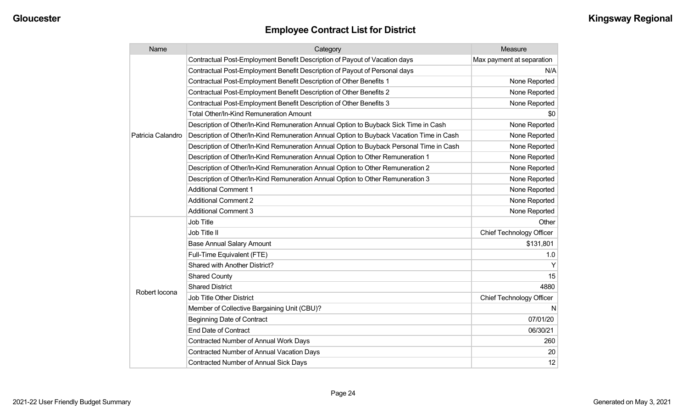| Name              | Category                                                                                 | Measure                         |
|-------------------|------------------------------------------------------------------------------------------|---------------------------------|
|                   | Contractual Post-Employment Benefit Description of Payout of Vacation days               | Max payment at separation       |
|                   | Contractual Post-Employment Benefit Description of Payout of Personal days               | N/A                             |
|                   | Contractual Post-Employment Benefit Description of Other Benefits 1                      | None Reported                   |
|                   | Contractual Post-Employment Benefit Description of Other Benefits 2                      | None Reported                   |
|                   | Contractual Post-Employment Benefit Description of Other Benefits 3                      | None Reported                   |
|                   | Total Other/In-Kind Remuneration Amount                                                  | \$0                             |
|                   | Description of Other/In-Kind Remuneration Annual Option to Buyback Sick Time in Cash     | None Reported                   |
| Patricia Calandro | Description of Other/In-Kind Remuneration Annual Option to Buyback Vacation Time in Cash | None Reported                   |
|                   | Description of Other/In-Kind Remuneration Annual Option to Buyback Personal Time in Cash | None Reported                   |
|                   | Description of Other/In-Kind Remuneration Annual Option to Other Remuneration 1          | None Reported                   |
|                   | Description of Other/In-Kind Remuneration Annual Option to Other Remuneration 2          | None Reported                   |
|                   | Description of Other/In-Kind Remuneration Annual Option to Other Remuneration 3          | None Reported                   |
|                   | <b>Additional Comment 1</b>                                                              | None Reported                   |
|                   | <b>Additional Comment 2</b>                                                              | None Reported                   |
|                   | <b>Additional Comment 3</b>                                                              | None Reported                   |
|                   | Job Title                                                                                | Other                           |
|                   | Job Title II                                                                             | <b>Chief Technology Officer</b> |
|                   | <b>Base Annual Salary Amount</b>                                                         | \$131,801                       |
|                   | Full-Time Equivalent (FTE)                                                               | 1.0                             |
|                   | Shared with Another District?                                                            |                                 |
|                   | <b>Shared County</b>                                                                     | 15                              |
|                   | <b>Shared District</b>                                                                   | 4880                            |
| Robert locona     | <b>Job Title Other District</b>                                                          | <b>Chief Technology Officer</b> |
|                   | Member of Collective Bargaining Unit (CBU)?                                              | N                               |
|                   | <b>Beginning Date of Contract</b>                                                        | 07/01/20                        |
|                   | <b>End Date of Contract</b>                                                              | 06/30/21                        |
|                   | <b>Contracted Number of Annual Work Days</b>                                             | 260                             |
|                   | <b>Contracted Number of Annual Vacation Days</b>                                         | 20                              |
|                   | Contracted Number of Annual Sick Days                                                    | 12                              |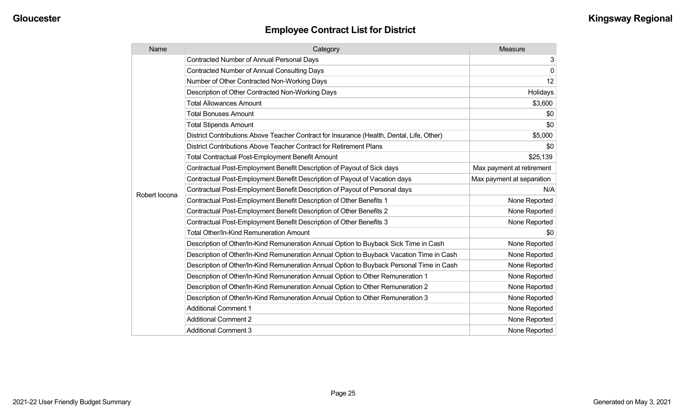| Name          | Category                                                                                  | <b>Measure</b>            |
|---------------|-------------------------------------------------------------------------------------------|---------------------------|
|               | <b>Contracted Number of Annual Personal Days</b>                                          | 3                         |
|               | <b>Contracted Number of Annual Consulting Days</b>                                        | 0                         |
|               | Number of Other Contracted Non-Working Days                                               | 12                        |
|               | Description of Other Contracted Non-Working Days                                          | Holidays                  |
|               | <b>Total Allowances Amount</b>                                                            | \$3,600                   |
|               | <b>Total Bonuses Amount</b>                                                               | \$0                       |
|               | <b>Total Stipends Amount</b>                                                              | \$0                       |
|               | District Contributions Above Teacher Contract for Insurance (Health, Dental, Life, Other) | \$5,000                   |
|               | District Contributions Above Teacher Contract for Retirement Plans                        | \$0                       |
|               | <b>Total Contractual Post-Employment Benefit Amount</b>                                   | \$25,139                  |
|               | Contractual Post-Employment Benefit Description of Payout of Sick days                    | Max payment at retirement |
|               | Contractual Post-Employment Benefit Description of Payout of Vacation days                | Max payment at separation |
| Robert locona | Contractual Post-Employment Benefit Description of Payout of Personal days                | N/A                       |
|               | Contractual Post-Employment Benefit Description of Other Benefits 1                       | None Reported             |
|               | Contractual Post-Employment Benefit Description of Other Benefits 2                       | None Reported             |
|               | Contractual Post-Employment Benefit Description of Other Benefits 3                       | None Reported             |
|               | Total Other/In-Kind Remuneration Amount                                                   | \$0                       |
|               | Description of Other/In-Kind Remuneration Annual Option to Buyback Sick Time in Cash      | None Reported             |
|               | Description of Other/In-Kind Remuneration Annual Option to Buyback Vacation Time in Cash  | None Reported             |
|               | Description of Other/In-Kind Remuneration Annual Option to Buyback Personal Time in Cash  | None Reported             |
|               | Description of Other/In-Kind Remuneration Annual Option to Other Remuneration 1           | None Reported             |
|               | Description of Other/In-Kind Remuneration Annual Option to Other Remuneration 2           | None Reported             |
|               | Description of Other/In-Kind Remuneration Annual Option to Other Remuneration 3           | None Reported             |
|               | <b>Additional Comment 1</b>                                                               | None Reported             |
|               | <b>Additional Comment 2</b>                                                               | None Reported             |
|               | <b>Additional Comment 3</b>                                                               | None Reported             |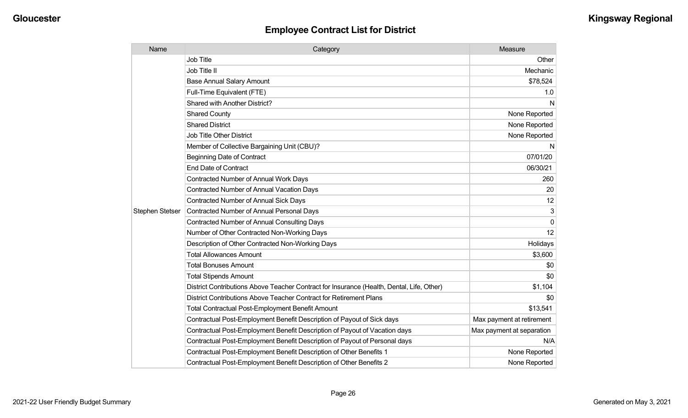| Name                   | Category                                                                                  | Measure                   |
|------------------------|-------------------------------------------------------------------------------------------|---------------------------|
|                        | <b>Job Title</b>                                                                          | Other                     |
|                        | Job Title II                                                                              | Mechanic                  |
|                        | <b>Base Annual Salary Amount</b>                                                          | \$78,524                  |
|                        | Full-Time Equivalent (FTE)                                                                | 1.0                       |
|                        | Shared with Another District?                                                             | N                         |
|                        | <b>Shared County</b>                                                                      | None Reported             |
|                        | <b>Shared District</b>                                                                    | None Reported             |
|                        | <b>Job Title Other District</b>                                                           | None Reported             |
|                        | Member of Collective Bargaining Unit (CBU)?                                               | N                         |
|                        | <b>Beginning Date of Contract</b>                                                         | 07/01/20                  |
|                        | End Date of Contract                                                                      | 06/30/21                  |
|                        | <b>Contracted Number of Annual Work Days</b>                                              | 260                       |
|                        | Contracted Number of Annual Vacation Days                                                 | 20                        |
|                        | <b>Contracted Number of Annual Sick Days</b>                                              | 12                        |
| <b>Stephen Stetser</b> | <b>Contracted Number of Annual Personal Days</b>                                          | 3                         |
|                        | <b>Contracted Number of Annual Consulting Days</b>                                        | $\Omega$                  |
|                        | Number of Other Contracted Non-Working Days                                               | 12                        |
|                        | Description of Other Contracted Non-Working Days                                          | Holidays                  |
|                        | <b>Total Allowances Amount</b>                                                            | \$3,600                   |
|                        | <b>Total Bonuses Amount</b>                                                               | \$0                       |
|                        | <b>Total Stipends Amount</b>                                                              | \$0                       |
|                        | District Contributions Above Teacher Contract for Insurance (Health, Dental, Life, Other) | \$1,104                   |
|                        | District Contributions Above Teacher Contract for Retirement Plans                        | \$0                       |
|                        | <b>Total Contractual Post-Employment Benefit Amount</b>                                   | \$13,541                  |
|                        | Contractual Post-Employment Benefit Description of Payout of Sick days                    | Max payment at retirement |
|                        | Contractual Post-Employment Benefit Description of Payout of Vacation days                | Max payment at separation |
|                        | Contractual Post-Employment Benefit Description of Payout of Personal days                | N/A                       |
|                        | Contractual Post-Employment Benefit Description of Other Benefits 1                       | None Reported             |
|                        | Contractual Post-Employment Benefit Description of Other Benefits 2                       | None Reported             |